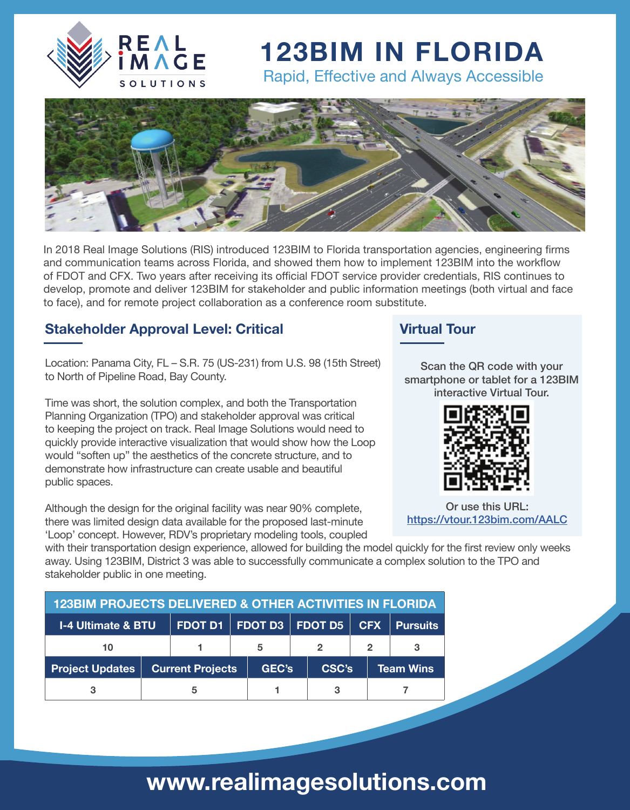

## **123BIM IN FLORIDA**

Rapid, Effective and Always Accessible



In 2018 Real Image Solutions (RIS) introduced 123BIM to Florida transportation agencies, engineering firms and communication teams across Florida, and showed them how to implement 123BIM into the workflow of FDOT and CFX. Two years after receiving its official FDOT service provider credentials, RIS continues to develop, promote and deliver 123BIM for stakeholder and public information meetings (both virtual and face to face), and for remote project collaboration as a conference room substitute.

#### **Stakeholder Approval Level: Critical**

Location: Panama City, FL – S.R. 75 (US-231) from U.S. 98 (15th Street) to North of Pipeline Road, Bay County.

Time was short, the solution complex, and both the Transportation Planning Organization (TPO) and stakeholder approval was critical to keeping the project on track. Real Image Solutions would need to quickly provide interactive visualization that would show how the Loop would "soften up" the aesthetics of the concrete structure, and to demonstrate how infrastructure can create usable and beautiful public spaces.

Although the design for the original facility was near 90% complete, there was limited design data available for the proposed last-minute 'Loop' concept. However, RDV's proprietary modeling tools, coupled

#### **Virtual Tour**

Scan the QR code with your smartphone or tablet for a 123BIM interactive Virtual Tour.



Or use this URL: <https://vtour.123bim.com/AALC>

with their transportation design experience, allowed for building the model quickly for the first review only weeks away. Using 123BIM, District 3 was able to successfully communicate a complex solution to the TPO and stakeholder public in one meeting.

| <b>123BIM PROJECTS DELIVERED &amp; OTHER ACTIVITIES IN FLORIDA</b> |                         |  |                             |       |  |       |            |                  |                 |
|--------------------------------------------------------------------|-------------------------|--|-----------------------------|-------|--|-------|------------|------------------|-----------------|
| <b>I-4 Ultimate &amp; BTU</b>                                      |                         |  | FDOT D1   FDOT D3   FDOT D5 |       |  |       | <b>CFX</b> |                  | <b>Pursuits</b> |
| 10                                                                 |                         |  | 5                           |       |  |       | 2          |                  |                 |
| <b>Project Updates</b>                                             | <b>Current Projects</b> |  |                             | GEC's |  | CSC's |            | <b>Team Wins</b> |                 |
|                                                                    |                         |  |                             |       |  |       |            |                  |                 |

## **www.realimagesolutions.com**